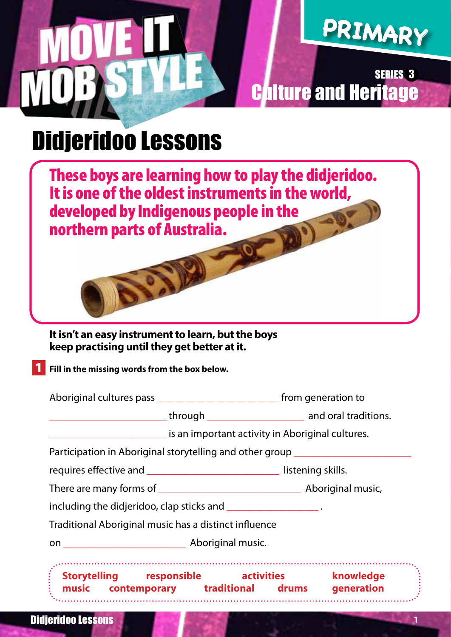# **PRIMARY**

Culture and Heritage SERIES 3

## Didjeridoo Lessons

These boys are learning how to play the didjeridoo. It is one of the oldest instruments in the world, developed by Indigenous people in the northern parts of Australia.

#### **It isn't an easy instrument to learn, but the boys keep practising until they get better at it.**

1 **Fill in the missing words from the box below.** 

|                                                                            | is an important activity in Aboriginal cultures.         |
|----------------------------------------------------------------------------|----------------------------------------------------------|
|                                                                            | Participation in Aboriginal storytelling and other group |
| requires effective and _________________________________ listening skills. |                                                          |
|                                                                            |                                                          |
| including the didjeridoo, clap sticks and ___________________.             |                                                          |
| Traditional Aboriginal music has a distinct influence                      |                                                          |
|                                                                            |                                                          |

l